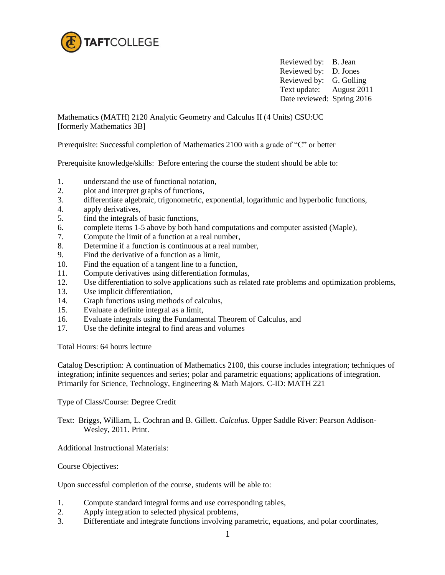

Reviewed by: B. Jean Reviewed by: D. Jones Reviewed by: G. Golling Text update: August 2011 Date reviewed: Spring 2016

Mathematics (MATH) 2120 Analytic Geometry and Calculus II (4 Units) CSU:UC [formerly Mathematics 3B]

Prerequisite: Successful completion of Mathematics 2100 with a grade of "C" or better

Prerequisite knowledge/skills: Before entering the course the student should be able to:

- 1. understand the use of functional notation,
- 2. plot and interpret graphs of functions,
- 3. differentiate algebraic, trigonometric, exponential, logarithmic and hyperbolic functions,
- 4. apply derivatives,
- 5. find the integrals of basic functions,
- 6. complete items 1-5 above by both hand computations and computer assisted (Maple),
- 7. Compute the limit of a function at a real number,
- 8. Determine if a function is continuous at a real number,
- 9. Find the derivative of a function as a limit,
- 10. Find the equation of a tangent line to a function,
- 11. Compute derivatives using differentiation formulas,
- 12. Use differentiation to solve applications such as related rate problems and optimization problems,
- 13. Use implicit differentiation,
- 14. Graph functions using methods of calculus,
- 15. Evaluate a definite integral as a limit,
- 16. Evaluate integrals using the Fundamental Theorem of Calculus, and
- 17. Use the definite integral to find areas and volumes

Total Hours: 64 hours lecture

Catalog Description: A continuation of Mathematics 2100, this course includes integration; techniques of integration; infinite sequences and series; polar and parametric equations; applications of integration. Primarily for Science, Technology, Engineering & Math Majors. C-ID: MATH 221

Type of Class/Course: Degree Credit

Text: Briggs, William, L. Cochran and B. Gillett. *Calculus*. Upper Saddle River: Pearson Addison-Wesley, 2011. Print.

Additional Instructional Materials:

Course Objectives:

Upon successful completion of the course, students will be able to:

- 1. Compute standard integral forms and use corresponding tables,
- 2. Apply integration to selected physical problems,
- 3. Differentiate and integrate functions involving parametric, equations, and polar coordinates,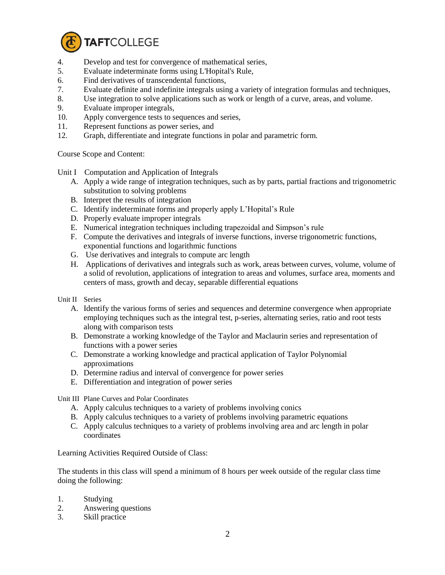

- 4. Develop and test for convergence of mathematical series,
- 5. Evaluate indeterminate forms using L'Hopital's Rule,
- 6. Find derivatives of transcendental functions,
- 7. Evaluate definite and indefinite integrals using a variety of integration formulas and techniques,
- 8. Use integration to solve applications such as work or length of a curve, areas, and volume.
- 9. Evaluate improper integrals,
- 10. Apply convergence tests to sequences and series,
- 11. Represent functions as power series, and
- 12. Graph, differentiate and integrate functions in polar and parametric form.

Course Scope and Content:

Unit I Computation and Application of Integrals

- A. Apply a wide range of integration techniques, such as by parts, partial fractions and trigonometric substitution to solving problems
- B. Interpret the results of integration
- C. Identify indeterminate forms and properly apply L'Hopital's Rule
- D. Properly evaluate improper integrals
- E. Numerical integration techniques including trapezoidal and Simpson's rule
- F. Compute the derivatives and integrals of inverse functions, inverse trigonometric functions, exponential functions and logarithmic functions
- G. Use derivatives and integrals to compute arc length
- H. Applications of derivatives and integrals such as work, areas between curves, volume, volume of a solid of revolution, applications of integration to areas and volumes, surface area, moments and centers of mass, growth and decay, separable differential equations
- Unit II Series
	- A. Identify the various forms of series and sequences and determine convergence when appropriate employing techniques such as the integral test, p-series, alternating series, ratio and root tests along with comparison tests
	- B. Demonstrate a working knowledge of the Taylor and Maclaurin series and representation of functions with a power series
	- C. Demonstrate a working knowledge and practical application of Taylor Polynomial approximations
	- D. Determine radius and interval of convergence for power series
	- E. Differentiation and integration of power series

Unit III Plane Curves and Polar Coordinates

- A. Apply calculus techniques to a variety of problems involving conics
- B. Apply calculus techniques to a variety of problems involving parametric equations
- C. Apply calculus techniques to a variety of problems involving area and arc length in polar coordinates

Learning Activities Required Outside of Class:

The students in this class will spend a minimum of 8 hours per week outside of the regular class time doing the following:

- 1. Studying
- 2. Answering questions
- 3. Skill practice